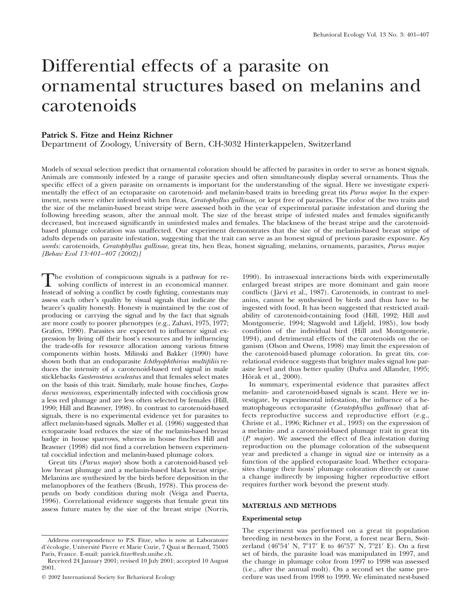# Differential effects of a parasite on ornamental structures based on melanins and carotenoids

# **Patrick S. Fitze and Heinz Richner**

Department of Zoology, University of Bern, CH-3032 Hinterkappelen, Switzerland

Models of sexual selection predict that ornamental coloration should be affected by parasites in order to serve as honest signals. Animals are commonly infested by a range of parasite species and often simultaneously display several ornaments. Thus the specific effect of a given parasite on ornaments is important for the understanding of the signal. Here we investigate experimentally the effect of an ectoparasite on carotenoid- and melanin-based traits in breeding great tits *Parus major.* In the experiment, nests were either infested with hen fleas, *Ceratophyllus gallinae,* or kept free of parasites. The color of the two traits and the size of the melanin-based breast stripe were assessed both in the year of experimental parasite infestation and during the following breeding season, after the annual molt. The size of the breast stripe of infested males and females significantly decreased, but increased significantly in uninfested males and females. The blackness of the breast stripe and the carotenoidbased plumage coloration was unaffected. Our experiment demonstrates that the size of the melanin-based breast stripe of adults depends on parasite infestation, suggesting that the trait can serve as an honest signal of previous parasite exposure. *Key words:* carotenoids, *Ceratophyllus gallinae,* great tits, hen fleas, honest signaling, melanins, ornaments, parasites, *Parus major. [Behav Ecol 13:401–407 (2002)]*

The evolution of conspicuous signals is a pathway for resolving conflicts of interest in an economical manner. Instead of solving a conflict by costly fighting, contestants may assess each other's quality by visual signals that indicate the bearer's quality honestly. Honesty is maintained by the cost of producing or carrying the signal and by the fact that signals are more costly to poorer phenotypes (e.g., Zahavi, 1975, 1977; Grafen, 1990). Parasites are expected to influence signal expression by living off their host's resources and by influencing the trade-offs for resource allocation among various fitness components within hosts. Milinski and Bakker (1990) have shown both that an endoparasite *Ichthyophthirius multifiliis* reduces the intensity of a carotenoid-based red signal in male sticklebacks *Gasterosteus aculeatus* and that females select mates on the basis of this trait. Similarly, male house finches, *Carpodacus mexicanus,* experimentally infected with coccidiosis grow a less red plumage and are less often selected by females (Hill, 1990; Hill and Brawner, 1998). In contrast to carotenoid-based signals, there is no experimental evidence yet for parasites to affect melanin-based signals. Møller et al. (1996) suggested that ectoparasite load reduces the size of the melanin-based breast badge in house sparrows, whereas in house finches Hill and Brawner (1998) did not find a correlation between experimental coccidial infection and melanin-based plumage colors.

Great tits (*Parus major*) show both a carotenoid-based yellow breast plumage and a melanin-based black breast stripe. Melanins are synthesized by the birds before deposition in the melanophores of the feathers (Brush, 1978). This process depends on body condition during molt (Veiga and Puerta, 1996). Correlational evidence suggests that female great tits assess future mates by the size of the breast stripe (Norris,

1990). In intrasexual interactions birds with experimentally enlarged breast stripes are more dominant and gain more conflicts (Järvi et al., 1987). Carotenoids, in contrast to melanins, cannot be synthesized by birds and thus have to be ingested with food. It has been suggested that restricted availability of carotenoid-containing food (Hill, 1992; Hill and Montgomerie, 1994; Slagsvold and Lifjeld, 1985), low body condition of the individual bird (Hill and Montgomerie, 1994), and detrimental effects of the carotenoids on the organism (Olson and Owens, 1998) may limit the expression of the carotenoid-based plumage coloration. In great tits, correlational evidence suggests that brighter males signal low parasite level and thus better quality (Dufva and Allander, 1995; Hõrak et al., 2000).

In summary, experimental evidence that parasites affect melanin- and carotenoid-based signals is scant. Here we investigate, by experimental infestation, the influence of a hematophageous ectoparasite (*Ceratophyllus gallinae*) that affects reproductive success and reproductive effort (e.g., Christe et al., 1996; Richner et al., 1993) on the expression of a melanin- and a carotenoid-based plumage trait in great tits (*P. major*). We assessed the effect of flea infestation during reproduction on the plumage coloration of the subsequent year and predicted a change in signal size or intensity as a function of the applied ectoparasite load. Whether ectoparasites change their hosts' plumage coloration directly or cause a change indirectly by imposing higher reproductive effort requires further work beyond the present study.

## **MATERIALS AND METHODS**

## **Experimental setup**

The experiment was performed on a great tit population breeding in nest-boxes in the Forst, a forest near Bern, Switzerland (46°54′ N, 7°17′ E to 46°57′ N, 7°21′ E). On a first set of birds, the parasite load was manipulated in 1997, and the change in plumage color from 1997 to 1998 was assessed (i.e., after the annual molt). On a second set the same procedure was used from 1998 to 1999. We eliminated nest-based

Address correspondence to P.S. Fitze, who is now at Laboratoire d'écologie, Université Pierre et Marie Curie, 7 Quai st Bernard, 75005 Paris, France. E-mail: patrick.fitze@esh.unibe.ch.

Received 24 January 2001; revised 10 July 2001; accepted 10 August 2001.

2002 International Society for Behavioral Ecology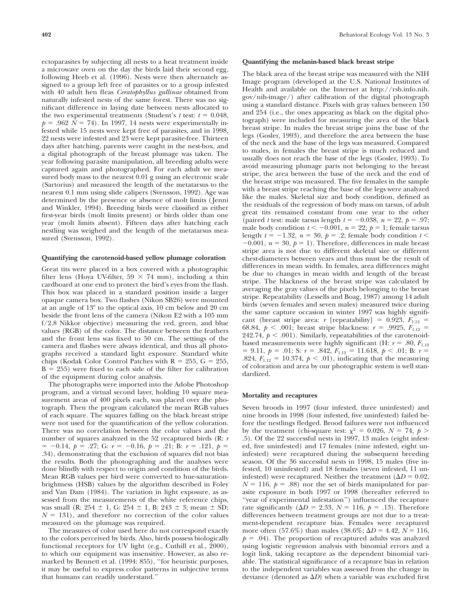ectoparasites by subjecting all nests to a heat treatment inside a microwave oven on the day the birds laid their second egg, following Heeb et al. (1996). Nests were then alternately assigned to a group left free of parasites or to a group infested with 40 adult hen fleas *Ceratophyllus gallinae* obtained from naturally infested nests of the same forest. There was no significant difference in laying date between nests allocated to the two experimental treatments (Student's  $t$  test:  $t = 0.048$ ,  $p = .962$   $N = 74$ ). In 1997, 14 nests were experimentally infested while 15 nests were kept free of parasites, and in 1998, 22 nests were infested and 23 were kept parasite-free. Thirteen days after hatching, parents were caught in the nest-box, and a digital photograph of the breast plumage was taken. The year following parasite manipulation, all breeding adults were captured again and photographed. For each adult we measured body mass to the nearest 0.01 g using an electronic scale (Sartorius) and measured the length of the metatarsus to the nearest 0.1 mm using slide calipers (Svensson, 1992). Age was determined by the presence or absence of molt limits ( Jenni and Winkler, 1994). Breeding birds were classified as either first-year birds (molt limits present) or birds older than one year (molt limits absent). Fifteen days after hatching each nestling was weighed and the length of the metatarsus measured (Svensson, 1992).

## **Quantifying the carotenoid-based yellow plumage coloration**

Great tits were placed in a box covered with a photographic filter lens (Hoya UV-filter,  $59 \times 74$  mm), including a thin cardboard at one end to protect the bird's eyes from the flash. This box was placed in a standard position inside a larger opaque camera box. Two flashes (Nikon SB26) were mounted at an angle of  $13^{\circ}$  to the optical axis, 10 cm below and 20 cm beside the front lens of the camera (Nikon E2 with a 105 mm f/2.8 Nikkor objective) measuring the red, green, and blue values (RGB) of the color. The distance between the feathers and the front lens was fixed to 50 cm. The settings of the camera and flashes were always identical, and thus all photographs received a standard light exposure. Standard white chips (Kodak Color Control Patches with  $R = 255$ ,  $G = 255$ ,  $B = 255$ ) were fixed to each side of the filter for calibration of the equipment during color analysis.

The photographs were imported into the Adobe Photoshop program, and a virtual second layer, holding 10 square measurement areas of 400 pixels each, was placed over the photograph. Then the program calculated the mean RGB values of each square. The squares falling on the black breast stripe were not used for the quantification of the yellow coloration. There was no correlation between the color values and the number of squares analyzed in the 52 recaptured birds (R: *r*  $= -0.14, p = .27$ ; G:  $r = -0.16, p = .21$ ; B:  $r = .121, p =$ .34), demonstrating that the exclusion of squares did not bias the results. Both the photographing and the analyses were done blindly with respect to origin and condition of the birds. Mean RGB values per bird were converted to hue-saturationbrightness (HSB) values by the algorithm described in Foley and Van Dam (1984). The variation in light exposure, as assessed from the measurements of the white reference chips, was small (R:  $254 \pm 1$ , G:  $254 \pm 1$ , B:  $243 \pm 3$ ; mean  $\pm$  SD;  $N = 131$ ), and therefore no correction of the color values measured on the plumage was required.

The measures of color used here do not correspond exactly to the colors perceived by birds. Also, birds possess biologically functional receptors for UV light (e.g., Cuthill et al., 2000), to which our equipment was insensitive. However, as also remarked by Bennett et al. (1994: 855), ''for heuristic purposes, it may be useful to express color patterns in subjective terms that humans can readily understand.''

## **Quantifying the melanin-based black breast stripe**

The black area of the breast stripe was measured with the NIH Image program (developed at the U.S. National Institutes of Health and available on the Internet at http://rsb.info.nih. gov/nih-image/) after calibration of the digital photograph using a standard distance. Pixels with gray values between 150 and 254 (i.e., the ones appearing as black on the digital photograph) were included for measuring the area of the black breast stripe. In males the breast stripe joins the base of the legs (Gosler, 1993), and therefore the area between the base of the neck and the base of the legs was measured. Compared to males, in females the breast stripe is much reduced and usually does not reach the base of the legs (Gosler, 1993). To avoid measuring plumage parts not belonging to the breast stripe, the area between the base of the neck and the end of the breast stripe was measured. The five females in the sample with a breast stripe reaching the base of the legs were analyzed like the males. Skeletal size and body condition, defined as the residuals of the regression of body mass on tarsus, of adult great tits remained constant from one year to the other (paired *t* test: male tarsus length  $t = -0.038$ ,  $n = 22$ ,  $p = .97$ ; male body condition  $t < -0.001$ ,  $n = 22$ ;  $p = 1$ ; female tarsus length  $t = -1.32$ ,  $n = 30$ ,  $p = .2$ ; female body condition  $t <$  $-0.001$ ,  $n = 30$ ,  $p = 1$ ). Therefore, differences in male breast stripe area is not due to different skeletal size or different chest-diameters between years and thus must be the result of differences in mean width. In females, area differences might be due to changes in mean width and length of the breast stripe. The blackness of the breast stripe was calculated by averaging the gray values of the pixels belonging to the breast stripe. Repeatability (Lessells and Boag, 1987) among 14 adult birds (seven females and seven males) measured twice during the same capture occasion in winter 1997 was highly significant (breast stripe area: *r* [repeatability] = 0.923,  $F_{1,12}$  = 68.84,  $p < .001$ ; breast stripe blackness:  $r = .9925$ ,  $F_{1,12}$ 242.74,  $p < .001$ ). Similarly, repeatabilities of the carotenoidbased measurements were highly significant (H:  $r = .80, F_{1,12}$ )  $= 9.11, p = .01;$  S:  $r = .842, F_{1,12} = 11.618, p < .01;$  B:  $r =$ .824,  $F_{1,12} = 10.374$ ,  $p < .01$ ), indicating that the measuring of coloration and area by our photographic system is well standardized.

#### **Mortality and recaptures**

Seven broods in 1997 (four infested, three uninfested) and nine broods in 1998 (four infested, five uninfested) failed before the nestlings fledged. Brood failures were not influenced by the treatment (chi-square test:  $\chi^2 = 0.026$ ,  $N = 74$ ,  $p >$ .5). Of the 22 successful nests in 1997, 13 males (eight infested, five uninfested) and 17 females (nine infested, eight uninfested) were recaptured during the subsequent breeding season. Of the 36 successful nests in 1998, 15 males (five infested, 10 uninfested) and 18 females (seven infested, 11 uninfested) were recaptured. Neither the treatment  $(\Delta D = 0.02,$  $N = 116$ ,  $p = .88$ ) nor the set of birds manipulated for parasite exposure in both 1997 or 1998 (hereafter referred to ''year of experimental infestation'') influenced the recapture rate significantly ( $\Delta D = 2.33$ ,  $N = 116$ ,  $p = .13$ ). Therefore differences between treatment groups are not due to a treatment-dependent recapture bias. Females were recaptured more often  $(57.6\%)$  than males  $(38.6\%; \Delta D = 4.42, N = 116,$  $p = .04$ ). The proportion of recaptured adults was analyzed using logistic regression analysis with binomial errors and a logit link, taking recapture as the dependent binomial variable. The statistical significance of a recapture bias in relation to the independent variables was assessed from the change in deviance (denoted as *D*) when a variable was excluded first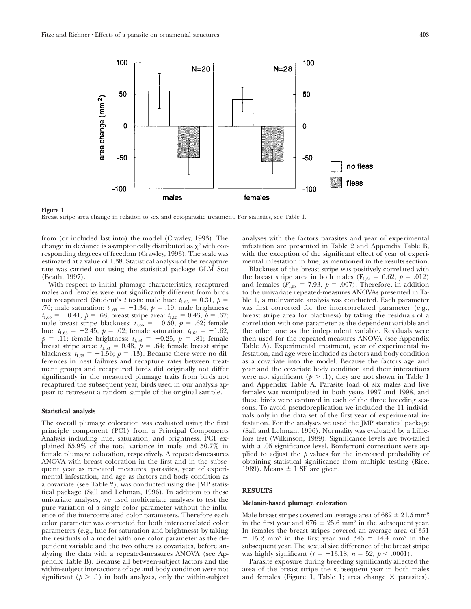

# **Figure 1**

Breast stripe area change in relation to sex and ectoparasite treatment. For statistics, see Table 1.

from (or included last into) the model (Crawley, 1993). The change in deviance is asymptotically distributed as  $\chi^2$  with corresponding degrees of freedom (Crawley, 1993). The scale was estimated at a value of 1.38. Statistical analysis of the recapture rate was carried out using the statistical package GLM Stat (Beath, 1997).

With respect to initial plumage characteristics, recaptured males and females were not significantly different from birds not recaptured (Student's *t* tests: male hue:  $t_{1,65} = 0.31$ ,  $p =$ .76; male saturation:  $t_{1,65} = -1.34$ ,  $p = .19$ ; male brightness:  $t_{1,65} = -0.41$ ,  $p = .68$ ; breast stripe area:  $t_{1,65} = 0.43$ ,  $p = .67$ ; male breast stripe blackness:  $t_{1,65} = -0.50$ ,  $p = .62$ ; female hue:  $t_{1,63} = -2.45$ ,  $p = .02$ ; female saturation:  $t_{1,63} = -1.62$ ,  $p = .11$ ; female brightness:  $t_{1,63} = -0.25$ ,  $p = .81$ ; female breast stripe area:  $t_{1,63} = 0.48$ ,  $p = .64$ ; female breast stripe blackness:  $t_{1,63} = -1.56$ ;  $p = .13$ ). Because there were no differences in nest failures and recapture rates between treatment groups and recaptured birds did originally not differ significantly in the measured plumage traits from birds not recaptured the subsequent year, birds used in our analysis appear to represent a random sample of the original sample.

#### **Statistical analysis**

The overall plumage coloration was evaluated using the first principle component (PC1) from a Principal Components Analysis including hue, saturation, and brightness. PC1 explained 55.9% of the total variance in male and 50.7% in female plumage coloration, respectively. A repeated-measures ANOVA with breast coloration in the first and in the subsequent year as repeated measures, parasites, year of experimental infestation, and age as factors and body condition as a covariate (see Table 2), was conducted using the JMP statistical package (Sall and Lehman, 1996). In addition to these univariate analyses, we used multivariate analyses to test the pure variation of a single color parameter without the influence of the intercorrelated color parameters. Therefore each color parameter was corrected for both intercorrelated color parameters (e.g., hue for saturation and brightness) by taking the residuals of a model with one color parameter as the dependent variable and the two others as covariates, before analyzing the data with a repeated-measures ANOVA (see Appendix Table B). Because all between-subject factors and the within-subject interactions of age and body condition were not significant  $(p > .1)$  in both analyses, only the within-subject analyses with the factors parasites and year of experimental infestation are presented in Table 2 and Appendix Table B, with the exception of the significant effect of year of experimental infestation in hue, as mentioned in the results section.

Blackness of the breast stripe was positively correlated with the breast stripe area in both males ( $F_{1,64} = 6.62$ ,  $p = .012$ ) and females  $(F_{1,58} = 7.93, p = .007)$ . Therefore, in addition to the univariate repeated-measures ANOVAs presented in Table 1, a multivariate analysis was conducted. Each parameter was first corrected for the intercorrelated parameter (e.g., breast stripe area for blackness) by taking the residuals of a correlation with one parameter as the dependent variable and the other one as the independent variable. Residuals were then used for the repeated-measures ANOVA (see Appendix Table A). Experimental treatment, year of experimental infestation, and age were included as factors and body condition as a covariate into the model. Because the factors age and year and the covariate body condition and their interactions were not significant  $(p > 0.1)$ , they are not shown in Table 1 and Appendix Table A. Parasite load of six males and five females was manipulated in both years 1997 and 1998, and these birds were captured in each of the three breeding seasons. To avoid pseudoreplication we included the 11 individuals only in the data set of the first year of experimental infestation. For the analyses we used the JMP statistical package (Sall and Lehman, 1996). Normality was evaluated by a Lilliefors test (Wilkinson, 1989). Significance levels are two-tailed with a .05 significance level. Bonferroni corrections were applied to adjust the *p* values for the increased probability of obtaining statistical significance from multiple testing (Rice, 1989). Means  $\pm$  1 SE are given.

# **RESULTS**

## **Melanin-based plumage coloration**

Male breast stripes covered an average area of  $682 \pm 21.5$  mm<sup>2</sup> in the first year and  $676 \pm 25.6$  mm<sup>2</sup> in the subsequent year. In females the breast stripes covered an average area of 351  $\pm$  15.2 mm<sup>2</sup> in the first year and 346  $\pm$  14.4 mm<sup>2</sup> in the subsequent year. The sexual size difference of the breast stripe was highly significant ( $t = -13.18$ ,  $n = 52$ ,  $p < .0001$ ).

Parasite exposure during breeding significantly affected the area of the breast stripe the subsequent year in both males and females (Figure 1, Table 1; area change  $\times$  parasites).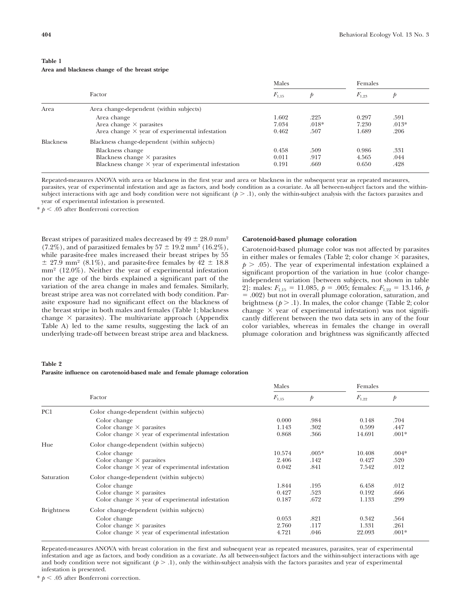# **Table 1 Area and blackness change of the breast stripe**

|                  | Factor                                                     | Males      |         | Females    |         |
|------------------|------------------------------------------------------------|------------|---------|------------|---------|
|                  |                                                            | $F_{1.15}$ |         | $F_{1,23}$ |         |
| Area             | Area change-dependent (within subjects)                    |            |         |            |         |
|                  | Area change                                                | 1.602      | .225    | 0.297      | .591    |
|                  | Area change $\times$ parasites                             | 7.034      | $.018*$ | 7.230      | $.013*$ |
|                  | Area change $\times$ year of experimental infestation      | 0.462      | .507    | 1.689      | .206    |
| <b>Blackness</b> | Blackness change-dependent (within subjects)               |            |         |            |         |
|                  | Blackness change                                           | 0.458      | .509    | 0.986      | .331    |
|                  | Blackness change $\times$ parasites                        | 0.011      | .917    | 4.565      | .044    |
|                  | Blackness change $\times$ year of experimental infestation | 0.191      | .669    | 0.650      | .428    |

Repeated-measures ANOVA with area or blackness in the first year and area or blackness in the subsequent year as repeated measures, parasites, year of experimental infestation and age as factors, and body condition as a covariate. As all between-subject factors and the withinsubject interactions with age and body condition were not significant  $(p > 0.1)$ , only the within-subject analysis with the factors parasites and year of experimental infestation is presented.

 $*$   $p < .05$  after Bonferroni correction

Breast stripes of parasitized males decreased by  $49 \pm 28.0$  mm<sup>2</sup>  $(7.2\%)$ , and of parasitized females by  $57 \pm 19.2$  mm<sup>2</sup> (16.2%), while parasite-free males increased their breast stripes by 55  $\pm$  27.9 mm<sup>2</sup> (8.1%), and parasite-free females by  $\overline{42} \pm 18.8$ mm2 (12.0%). Neither the year of experimental infestation nor the age of the birds explained a significant part of the variation of the area change in males and females. Similarly, breast stripe area was not correlated with body condition. Parasite exposure had no significant effect on the blackness of the breast stripe in both males and females (Table 1; blackness change  $\times$  parasites). The multivariate approach (Appendix Table A) led to the same results, suggesting the lack of an underlying trade-off between breast stripe area and blackness.

## **Carotenoid-based plumage coloration**

Carotenoid-based plumage color was not affected by parasites in either males or females (Table 2; color change  $\times$  parasites,  $p > .05$ ). The year of experimental infestation explained a significant proportion of the variation in hue (color changeindependent variation [between subjects, not shown in table 2]: males:  $F_{1,15} = 11.085$ ,  $p = .005$ ; females:  $F_{1,22} = 13.146$ ,  $p$  .002) but not in overall plumage coloration, saturation, and brightness  $(p > 0.1)$ . In males, the color change (Table 2; color change  $\times$  year of experimental infestation) was not significantly different between the two data sets in any of the four color variables, whereas in females the change in overall plumage coloration and brightness was significantly affected

## **Table 2**

## **Parasite influence on carotenoid-based male and female plumage coloration**

|                   | Factor                                                 | Males      |           | Females    |                |
|-------------------|--------------------------------------------------------|------------|-----------|------------|----------------|
|                   |                                                        | $F_{1,15}$ | $\dot{p}$ | $F_{1,22}$ | $\mathfrak{p}$ |
| PC1               | Color change-dependent (within subjects)               |            |           |            |                |
|                   | Color change                                           | 0.000      | .984      | 0.148      | .704           |
|                   | Color change $\times$ parasites                        | 1.143      | .302      | 0.599      | .447           |
|                   | Color change $\times$ year of experimental infestation | 0.868      | .366      | 14.691     | $.001*$        |
| Hue               | Color change-dependent (within subjects)               |            |           |            |                |
|                   | Color change                                           | 10.574     | $.005*$   | 10.408     | $.004*$        |
|                   | Color change $\times$ parasites                        | 2.406      | .142      | 0.427      | .520           |
|                   | Color change $\times$ year of experimental infestation | 0.042      | .841      | 7.542      | .012           |
| Saturation        | Color change-dependent (within subjects)               |            |           |            |                |
|                   | Color change                                           | 1.844      | .195      | 6.458      | .012           |
|                   | Color change $\times$ parasites                        | 0.427      | .523      | 0.192      | .666           |
|                   | Color change $\times$ year of experimental infestation | 0.187      | .672      | 1.133      | .299           |
| <b>Brightness</b> | Color change-dependent (within subjects)               |            |           |            |                |
|                   | Color change                                           | 0.053      | .821      | 0.342      | .564           |
|                   | Color change $\times$ parasites                        | 2.760      | .117      | 1.331      | .261           |
|                   | Color change $\times$ year of experimental infestation | 4.721      | .046      | 22.093     | $.001*$        |

Repeated-measures ANOVA with breast coloration in the first and subsequent year as repeated measures, parasites, year of experimental infestation and age as factors, and body condition as a covariate. As all between-subject factors and the within-subject interactions with age and body condition were not significant ( $p > 0.1$ ), only the within-subject analysis with the factors parasites and year of experimental infestation is presented.

 $* p < .05$  after Bonferroni correction.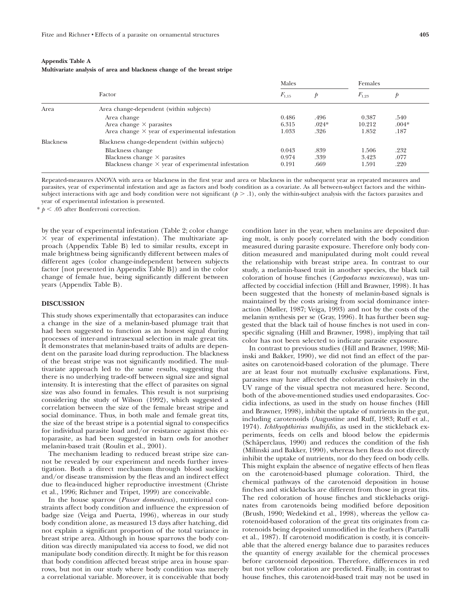#### **Appendix Table A**

#### **Multivariate analysis of area and blackness change of the breast stripe**

|                  | Factor                                                     | Males      |         | Females    |         |
|------------------|------------------------------------------------------------|------------|---------|------------|---------|
|                  |                                                            | $F_{1,15}$ |         | $F_{1,23}$ |         |
| Area             | Area change-dependent (within subjects)                    |            |         |            |         |
|                  | Area change                                                | 0.486      | .496    | 0.387      | .540    |
|                  | Area change $\times$ parasites                             | 6.315      | $.024*$ | 10.212     | $.004*$ |
|                  | Area change $\times$ year of experimental infestation      | 1.033      | .326    | 1.852      | .187    |
| <b>Blackness</b> | Blackness change-dependent (within subjects)               |            |         |            |         |
|                  | Blackness change                                           | 0.043      | .839    | 1.506      | .232    |
|                  | Blackness change $\times$ parasites                        | 0.974      | .339    | 3.423      | .077    |
|                  | Blackness change $\times$ year of experimental infestation | 0.191      | .669    | 1.591      | .220    |
|                  |                                                            |            |         |            |         |

Repeated-measures ANOVA with area or blackness in the first year and area or blackness in the subsequent year as repeated measures and parasites, year of experimental infestation and age as factors and body condition as a covariate. As all between-subject factors and the withinsubject interactions with age and body condition were not significant  $(p > 0.1)$ , only the within-subject analysis with the factors parasites and year of experimental infestation is presented.

 $*$   $p$  < .05 after Bonferroni correction.

by the year of experimental infestation (Table 2; color change  $\times$  year of experimental infestation). The multivariate approach (Appendix Table B) led to similar results, except in male brightness being significantly different between males of different ages (color change-independent between subjects factor [not presented in Appendix Table B]) and in the color change of female hue, being significantly different between years (Appendix Table B).

#### **DISCUSSION**

This study shows experimentally that ectoparasites can induce a change in the size of a melanin-based plumage trait that had been suggested to function as an honest signal during processes of inter-and intrasexual selection in male great tits. It demonstrates that melanin-based traits of adults are dependent on the parasite load during reproduction. The blackness of the breast stripe was not significantly modified. The multivariate approach led to the same results, suggesting that there is no underlying trade-off between signal size and signal intensity. It is interesting that the effect of parasites on signal size was also found in females. This result is not surprising considering the study of Wilson (1992), which suggested a correlation between the size of the female breast stripe and social dominance. Thus, in both male and female great tits, the size of the breast stripe is a potential signal to conspecifics for individual parasite load and/or resistance against this ectoparasite, as had been suggested in barn owls for another melanin-based trait (Roulin et al., 2001).

The mechanism leading to reduced breast stripe size cannot be revealed by our experiment and needs further investigation. Both a direct mechanism through blood sucking and/or disease transmission by the fleas and an indirect effect due to flea-induced higher reproductive investment (Christe et al., 1996; Richner and Tripet, 1999) are conceivable.

In the house sparrow (*Passer domesticus*), nutritional constraints affect body condition and influence the expression of badge size (Veiga and Puerta, 1996), whereas in our study body condition alone, as measured 13 days after hatching, did not explain a significant proportion of the total variance in breast stripe area. Although in house sparrows the body condition was directly manipulated via access to food, we did not manipulate body condition directly. It might be for this reason that body condition affected breast stripe area in house sparrows, but not in our study where body condition was merely a correlational variable. Moreover, it is conceivable that body

condition later in the year, when melanins are deposited during molt, is only poorly correlated with the body condition measured during parasite exposure. Therefore only body condition measured and manipulated during molt could reveal the relationship with breast stripe area. In contrast to our study, a melanin-based trait in another species, the black tail coloration of house finches (*Carpodacus mexicanus*), was unaffected by coccidial infection (Hill and Brawner, 1998). It has been suggested that the honesty of melanin-based signals is maintained by the costs arising from social dominance interaction (Møller, 1987; Veiga, 1993) and not by the costs of the melanin synthesis per se (Gray, 1996). It has further been suggested that the black tail of house finches is not used in conspecific signaling (Hill and Brawner, 1998), implying that tail color has not been selected to indicate parasite exposure.

In contrast to previous studies (Hill and Brawner, 1998; Milinski and Bakker, 1990), we did not find an effect of the parasites on carotenoid-based coloration of the plumage. There are at least four not mutually exclusive explanations. First, parasites may have affected the coloration exclusively in the UV range of the visual spectra not measured here. Second, both of the above-mentioned studies used endoparasites. Coccidia infections, as used in the study on house finches (Hill and Brawner, 1998), inhibit the uptake of nutrients in the gut, including carotenoids (Augustine and Ruff, 1983; Ruff et al., 1974). *Ichthyopthirius multifilis,* as used in the stickleback experiments, feeds on cells and blood below the epidermis (Schäperclaus, 1990) and reduces the condition of the fish (Milinski and Bakker, 1990), whereas hen fleas do not directly inhibit the uptake of nutrients, nor do they feed on body cells. This might explain the absence of negative effects of hen fleas on the carotenoid-based plumage coloration. Third, the chemical pathways of the carotenoid deposition in house finches and sticklebacks are different from those in great tits. The red coloration of house finches and sticklebacks originates from carotenoids being modified before deposition (Brush, 1990; Wedekind et al., 1998), whereas the yellow carotenoid-based coloration of the great tits originates from carotenoids being deposited unmodified in the feathers (Partalli et al., 1987). If carotenoid modification is costly, it is conceivable that the altered energy balance due to parasites reduces the quantity of energy available for the chemical processes before carotenoid deposition. Therefore, differences in red but not yellow coloration are predicted. Finally, in contrast to house finches, this carotenoid-based trait may not be used in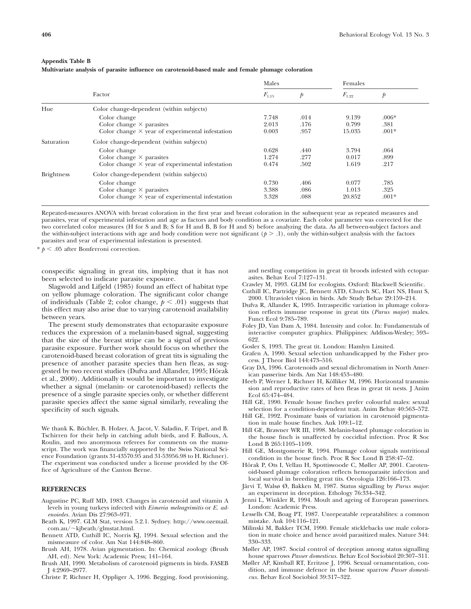#### **Appendix Table B**

**Multivariate analysis of parasite influence on carotenoid-based male and female plumage coloration**

|                   | Factor                                                 | Males      |      | Females    |         |  |
|-------------------|--------------------------------------------------------|------------|------|------------|---------|--|
|                   |                                                        | $F_{1.15}$ | p    | $F_{1,22}$ | p       |  |
| Hue               | Color change-dependent (within subjects)               |            |      |            |         |  |
|                   | Color change                                           | 7.748      | .014 | 9.139      | $.006*$ |  |
|                   | Color change $\times$ parasites                        | 2.013      | .176 | 0.799      | .381    |  |
|                   | Color change $\times$ year of experimental infestation | 0.003      | .957 | 15.035     | $.001*$ |  |
| Saturation        | Color change-dependent (within subjects)               |            |      |            |         |  |
|                   | Color change                                           | 0.628      | .440 | 3.794      | .064    |  |
|                   | Color change $\times$ parasites                        | 1.274      | .277 | 0.017      | .899    |  |
|                   | Color change $\times$ year of experimental infestation | 0.474      | .502 | 1.619      | .217    |  |
| <b>Brightness</b> | Color change-dependent (within subjects)               |            |      |            |         |  |
|                   | Color change                                           | 0.730      | .406 | 0.077      | .785    |  |
|                   | Color change $\times$ parasites                        | 3.388      | .086 | 1.013      | .325    |  |
|                   | Color change $\times$ year of experimental infestation | 3.328      | .088 | 20.852     | $.001*$ |  |

Repeated-measures ANOVA with breast coloration in the first year and breast coloration in the subsequent year as repeated measures and parasites, year of experimental infestation and age as factors and body condition as a covariate. Each color parameter was corrected for the two correlated color measures (H for S and B; S for H and B, B for H and S) before analyzing the data. As all between-subject factors and the within-subject interactions with age and body condition were not significant  $(p > .1)$ , only the within-subject analysis with the factors parasites and year of experimental infestation is presented.

 $*$   $p$  < .05 after Bonferroni correction.

conspecific signaling in great tits, implying that it has not been selected to indicate parasite exposure.

Slagsvold and Lifjeld (1985) found an effect of habitat type on yellow plumage coloration. The significant color change of individuals (Table 2; color change,  $p < .01$ ) suggests that this effect may also arise due to varying carotenoid availability between years.

The present study demonstrates that ectoparasite exposure reduces the expression of a melanin-based signal, suggesting that the size of the breast stripe can be a signal of previous parasite exposure. Further work should focus on whether the carotenoid-based breast coloration of great tits is signaling the presence of another parasite species than hen fleas, as suggested by two recent studies (Dufva and Allander, 1995; Hõrak et al., 2000). Additionally it would be important to investigate whether a signal (melanin- or carotenoid-based) reflects the presence of a single parasite species only, or whether different parasite species affect the same signal similarly, revealing the specificity of such signals.

We thank K. Büchler, B. Holzer, A. Jacot, V. Saladin, F. Tripet, and B. Tschirren for their help in catching adult birds, and F. Balloux, A. Roulin, and two anonymous referees for comments on the manuscript. The work was financially supported by the Swiss National Science Foundation (grants 31-43570.95 and 31-53956.98 to H. Richner). The experiment was conducted under a license provided by the Office of Agriculture of the Canton Berne.

#### **REFERENCES**

- Augustine PC, Ruff MD, 1983. Changes in carotenoid and vitamin A levels in young turkeys infected with *Eimeria meleagrimitis* or *E. adenoiedes.* Avian Dis 27:963–971.
- Beath K, 1997. GLM Stat, version 5.2.1. Sydney. http://www.ozemail. com.au/~kjbeath/glmstat.html.
- Bennett ATD, Cuthill IC, Norris KJ, 1994. Sexual selection and the mismeasure of color. Am Nat 144:848–860.
- Brush AH, 1978. Avian pigmentation. In: Chemical zoology (Brush AH, ed). New York: Academic Press; 141–164.
- Brush AH, 1990. Metabolism of carotenoid pigments in birds. FASEB J 4:2969–2977.
- Christe P, Richner H, Oppliger A, 1996. Begging, food provisioning,

and nestling competition in great tit broods infested with ectoparasites. Behav Ecol 7:127–131.

- Crawley M, 1993. GLIM for ecologists. Oxford: Blackwell Scientific.
- Cuthill IC, Partridge JC, Bennett ATD, Church SC, Hart NS, Hunt S, 2000. Ultraviolet vision in birds. Adv Study Behav 29:159–214.
- Dufva R, Allander K, 1995. Intraspecific variation in plumage coloration reflects immune response in great tits (*Parus major*) males. Funct Ecol 9:785–789.
- Foley JD, Van Dam A, 1984. Intensity and color. In: Fundamentals of interactive computer graphics. Philippines: Addison-Wesley; 593– 622.
- Gosler S, 1993. The great tit. London: Hamlyn Limited.
- Grafen A, 1990. Sexual selection unhandicapped by the Fisher process. J Theor Biol 144:473–516.
- Gray DA, 1996. Carotenoids and sexual dichromatism in North American passerine birds. Am Nat 148:453–480.
- Heeb P, Werner I, Richner H, Kölliker M, 1996. Horizontal transmission and reproductive rates of hen fleas in great tit nests. J Anim Ecol 65:474–484.
- Hill GE, 1990. Female house finches prefer colourful males: sexual selection for a condition-dependent trait. Anim Behav 40:563–572.
- Hill GE, 1992. Proximate basis of variation in carotenoid pigmentation in male house finches. Auk 109:1–12.
- Hill GE, Brawner WR III, 1998. Melanin-based plumage coloration in the house finch is unaffected by coccidial infection. Proc R Soc Lond B 265:1105–1109.
- Hill GE, Montgomerie R, 1994. Plumage colour signals nutritional condition in the house finch. Proc R Soc Lond B 258:47–52.
- Hõrak P, Ots I, Vellau H, Spottiswoode C, Møller AP, 2001. Carotenoid-based plumage coloration reflects hemoparasite infection and local survival in breeding great tits. Oecologia 126:166–173.
- Järvi T, Walsø Ø, Bakken M, 1987. Status signalling by *Parus major*: an experiment in deception. Ethology 76:334–342.
- Jenni L, Winkler R, 1994. Moult and ageing of European passerines. London: Academic Press.
- Lessells CM, Boag PT, 1987. Unrepeatable repeatabilites: a common mistake. Auk 104:116–121.
- Milinski M, Bakker TCM, 1990. Female sticklebacks use male coloration in mate choice and hence avoid parasitized males. Nature 344: 330–333.
- Møller AP, 1987. Social control of deception among status signalling house sparrows *Passer domesticus.* Behav Ecol Sociobiol 20:307–311.
- Møller AP, Kimball RT, Erritzoe J, 1996. Sexual ornamentation, condition, and immune defence in the house sparrow *Passer domesticus.* Behav Ecol Sociobiol 39:317–322.